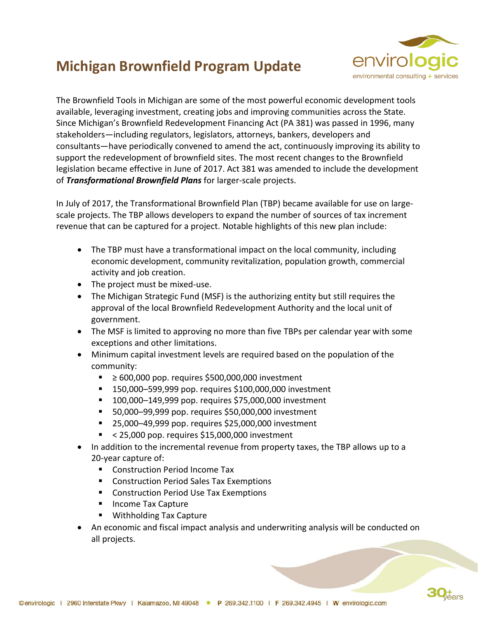## **Michigan Brownfield Program Update**



The Brownfield Tools in Michigan are some of the most powerful economic development tools available, leveraging investment, creating jobs and improving communities across the State. Since Michigan's Brownfield Redevelopment Financing Act (PA 381) was passed in 1996, many stakeholders—including regulators, legislators, attorneys, bankers, developers and consultants—have periodically convened to amend the act, continuously improving its ability to support the redevelopment of brownfield sites. The most recent changes to the Brownfield legislation became effective in June of 2017. Act 381 was amended to include the development of *Transformational Brownfield Plans* for larger-scale projects.

In July of 2017, the Transformational Brownfield Plan (TBP) became available for use on largescale projects. The TBP allows developers to expand the number of sources of tax increment revenue that can be captured for a project. Notable highlights of this new plan include:

- The TBP must have a transformational impact on the local community, including economic development, community revitalization, population growth, commercial activity and job creation.
- The project must be mixed-use.
- The Michigan Strategic Fund (MSF) is the authorizing entity but still requires the approval of the local Brownfield Redevelopment Authority and the local unit of government.
- The MSF is limited to approving no more than five TBPs per calendar year with some exceptions and other limitations.
- Minimum capital investment levels are required based on the population of the community:
	- ≥ 600,000 pop. requires \$500,000,000 investment
	- 150,000–599,999 pop. requires \$100,000,000 investment
	- 100,000–149,999 pop. requires \$75,000,000 investment
	- 50,000–99,999 pop. requires \$50,000,000 investment
	- 25,000-49,999 pop. requires \$25,000,000 investment
	- $\approx$  < 25,000 pop. requires \$15,000,000 investment
- In addition to the incremental revenue from property taxes, the TBP allows up to a 20-year capture of:
	- Construction Period Income Tax
	- Construction Period Sales Tax Exemptions
	- Construction Period Use Tax Exemptions
	- Income Tax Capture
	- Withholding Tax Capture
- An economic and fiscal impact analysis and underwriting analysis will be conducted on all projects.